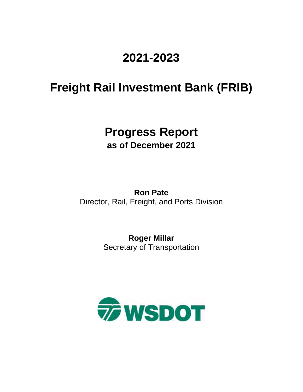## **2021-2023**

# **Freight Rail Investment Bank (FRIB)**

### **Progress Report as of December 2021**

**Ron Pate** Director, Rail, Freight, and Ports Division

> **Roger Millar**  Secretary of Transportation

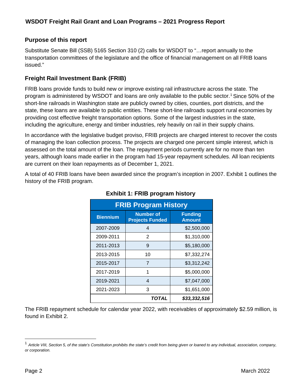#### **Purpose of this report**

Substitute Senate Bill (SSB) 5165 Section 310 (2) calls for WSDOT to "…report annually to the transportation committees of the legislature and the office of financial management on all FRIB loans issued."

#### **Freight Rail Investment Bank (FRIB)**

FRIB loans provide funds to build new or improve existing rail infrastructure across the state. The program is administered by WSDOT and loans are only available to the public sector[.1](#page-1-0) Since 50% of the short-line railroads in Washington state are publicly owned by cities, counties, port districts, and the state, these loans are available to public entities. These short-line railroads support rural economies by providing cost effective freight transportation options. Some of the largest industries in the state, including the agriculture, energy and timber industries, rely heavily on rail in their supply chains.

In accordance with the legislative budget proviso, FRIB projects are charged interest to recover the costs of managing the loan collection process. The projects are charged one percent simple interest, which is assessed on the total amount of the loan. The repayment periods currently are for no more than ten years, although loans made earlier in the program had 15-year repayment schedules. All loan recipients are current on their loan repayments as of December 1, 2021.

A total of 40 FRIB loans have been awarded since the program's inception in 2007. Exhibit 1 outlines the history of the FRIB program.

| <b>FRIB Program History</b> |                                            |                                 |  |  |  |  |  |
|-----------------------------|--------------------------------------------|---------------------------------|--|--|--|--|--|
| <b>Biennium</b>             | <b>Number of</b><br><b>Projects Funded</b> | <b>Funding</b><br><b>Amount</b> |  |  |  |  |  |
| 2007-2009                   | 4                                          | \$2,500,000                     |  |  |  |  |  |
| 2009-2011                   | 2                                          | \$1,310,000                     |  |  |  |  |  |
| 2011-2013                   | 9                                          | \$5,180,000                     |  |  |  |  |  |
| 2013-2015                   | 10                                         | \$7,332,274                     |  |  |  |  |  |
| 2015-2017                   | $\overline{7}$                             | \$3,312,242                     |  |  |  |  |  |
| 2017-2019                   | 1                                          | \$5,000,000                     |  |  |  |  |  |
| 2019-2021                   | 4                                          | \$7,047,000                     |  |  |  |  |  |
| 2021-2023                   | 3                                          | \$1,651,000                     |  |  |  |  |  |
|                             | TOTAL                                      | \$33,332,516                    |  |  |  |  |  |

#### **Exhibit 1: FRIB program history**

The FRIB repayment schedule for calendar year 2022, with receivables of approximately \$2.59 million, is found in Exhibit 2.

<span id="page-1-0"></span><sup>1</sup> *Article VIII, Section 5, of the state's Constitution prohibits the state's credit from being given or loaned to any individual, association, company, or corporation.*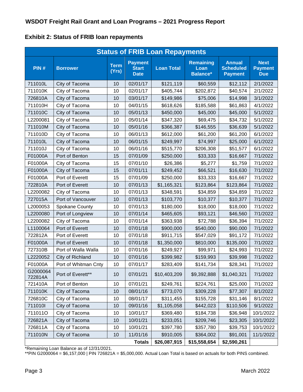**Exhibit 2: Status of FRIB loan repayments**

| <b>Status of FRIB Loan Repayments</b> |                      |                      |                                               |                   |                                             |                                                     |                                             |  |
|---------------------------------------|----------------------|----------------------|-----------------------------------------------|-------------------|---------------------------------------------|-----------------------------------------------------|---------------------------------------------|--|
| PIN#                                  | <b>Borrower</b>      | <b>Term</b><br>(Yrs) | <b>Payment</b><br><b>Start</b><br><b>Date</b> | <b>Loan Total</b> | <b>Remaining</b><br>Loan<br><b>Balance*</b> | <b>Annual</b><br><b>Scheduled</b><br><b>Payment</b> | <b>Next</b><br><b>Payment</b><br><b>Due</b> |  |
| 711010L                               | City of Tacoma       | 10                   | 02/01/17                                      | \$121,119         | \$60,559                                    | \$12,112                                            | 2/1/2022                                    |  |
| 711010K                               | City of Tacoma       | 10                   | 02/01/17                                      | \$405,744         | \$202,872                                   | \$40,574                                            | 2/1/2022                                    |  |
| 726810A                               | City of Tacoma       | 10                   | 03/01/17                                      | \$149,986         | \$75,006                                    | \$14,998                                            | 3/1/2022                                    |  |
| 711010H                               | City of Tacoma       | 10                   | 04/01/15                                      | \$618,626         | \$185,588                                   | \$61,863                                            | 4/1/2022                                    |  |
| 711010C                               | City of Tacoma       | 10                   | 05/01/13                                      | \$450,000         | \$45,000                                    | \$45,000                                            | 5/1/2022                                    |  |
| L2200081                              | City of Tacoma       | 10                   | 05/01/14                                      | \$347,320         | \$69,475                                    | \$34,732                                            | 5/1/2022                                    |  |
| 711010M                               | City of Tacoma       | 10                   | 05/01/16                                      | \$366,387         | \$146,555                                   | \$36,639                                            | 5/1/2022                                    |  |
| 711010D                               | City of Tacoma       | 10                   | 06/01/13                                      | \$612,000         | \$61,200                                    | \$61,200                                            | 6/1/2022                                    |  |
| 711010L                               | City of Tacoma       | 10                   | 06/01/15                                      | \$249,997         | \$74,997                                    | \$25,000                                            | 6/1/2022                                    |  |
| 711010J                               | City of Tacoma       | 10                   | 06/01/16                                      | \$515,770         | \$206,308                                   | \$51,577                                            | 6/1/2022                                    |  |
| F01000A                               | Port of Benton       | 15                   | 07/01/09                                      | \$250,000         | \$33,333                                    | \$16,667                                            | 7/1/2022                                    |  |
| F01000A                               | City of Tacoma       | 15                   | 07/01/10                                      | \$26,386          | \$5,277                                     | \$1,759                                             | 7/1/2022                                    |  |
| F01000A                               | City of Tacoma       | 15                   | 07/01/11                                      | \$249,452         | \$66,521                                    | \$16,630                                            | 7/1/2022                                    |  |
| F01000A                               | Port of Everett      | 15                   | 07/01/09                                      | \$250,000         | \$33,333                                    | \$16,667                                            | 7/1/2022                                    |  |
| 722810A                               | Port of Everett      | 10                   | 07/01/13                                      | \$1,165,321       | \$123,864                                   | \$123,864                                           | 7/1/2022                                    |  |
| L2200082                              | City of Tacoma       | 10                   | 07/01/13                                      | \$348,591         | \$34,859                                    | \$34,859                                            | 7/1/2022                                    |  |
| 727015A                               | Port of Vancouver    | 10                   | 07/01/13                                      | \$103,770         | \$10,377                                    | \$10,377                                            | 7/1/2022                                    |  |
| L2000053                              | Spokane County       | 10                   | 07/01/13                                      | \$180,000         | \$18,000                                    | \$18,000                                            | 7/1/2022                                    |  |
| L2200080                              | Port of Longview     | 10                   | 07/01/14                                      | \$465,605         | \$93,121                                    | \$46,560                                            | 7/1/2022                                    |  |
| L2200082                              | City of Tacoma       | 10                   | 07/01/14                                      | \$363,938         | \$72,788                                    | \$36,394                                            | 7/1/2022                                    |  |
| L1100064                              | Port of Everett      | 10                   | 07/01/18                                      | \$900,000         | \$540,000                                   | \$90,000                                            | 7/1/2022                                    |  |
| 722812A                               | Port of Everett      | 10                   | 07/01/18                                      | \$911,715         | \$547,029                                   | \$91,172                                            | 7/1/2022                                    |  |
| F01000A                               | Port of Everett      | 10                   | 07/01/18                                      | \$1,350,000       | \$810,000                                   | \$135,000                                           | 7/1/2022                                    |  |
| 727310B                               | Port of Walla Walla  | 10                   | 07/01/16                                      | \$249,927         | \$99,971                                    | \$24,993                                            | 7/1/2022                                    |  |
| L2220052                              | City of Richland     | 10                   | 07/01/16                                      | \$399,982         | \$159,993                                   | \$39,998                                            | 7/1/2022                                    |  |
| F01000A                               | Port of Whitman Cnty | 10                   | 07/01/17                                      | \$283,409         | \$141,734                                   | \$28,341                                            | 7/1/2022                                    |  |
| G2000064<br>722814A                   | Port of Everett**    | 10                   | 07/01/21                                      | \$10,403,209      | \$9,392,888                                 | \$1,040,321                                         | 7/1/2022                                    |  |
| 721410A                               | Port of Benton       | 10                   | 07/01/21                                      | \$249,761         | \$224,761                                   | \$25,000                                            | 7/1/2022                                    |  |
| 711010K                               | City of Tacoma       | 10                   | 08/01/16                                      | \$773,070         | \$309,228                                   | \$77,307                                            | 8/1/2022                                    |  |
| 726810C                               | City of Tacoma       | 10                   | 08/01/17                                      | \$311,455         | \$155,728                                   | \$31,146                                            | 8/1/2022                                    |  |
| 711010I                               | City of Tacoma       | 10                   | 09/01/16                                      | \$1,105,058       | \$442,023                                   | \$110,506                                           | 9/1/2022                                    |  |
| 711011O                               | City of Tacoma       | 10                   | 10/01/17                                      | \$369,480         | \$184,738                                   | \$36,948                                            | 10/1/2022                                   |  |
| 726821A                               | City of Tacoma       | 10                   | 10/01/21                                      | \$233,051         | \$209,746                                   | \$23,305                                            | 10/1/2022                                   |  |
| 726811A                               | City of Tacoma       | 10                   | 10/01/21                                      | \$397,780         | \$357,780                                   | \$39,753                                            | 10/1/2022                                   |  |
| 711010N                               | City of Tacoma       | 10                   | 11/01/16                                      | \$910,005         | \$364,002                                   | \$91,001                                            | 11/1/2022                                   |  |
|                                       |                      |                      | <b>Totals</b>                                 | \$26,087,915      | \$15,558,654                                | \$2,590,261                                         |                                             |  |

\*Remaining Loan Balance as of 12/31/2021.

\*\*PIN G2000064 = \$6,157,000 | PIN 726821A = \$5,000,000. Actual Loan Total is based on actuals for both PINS combined.